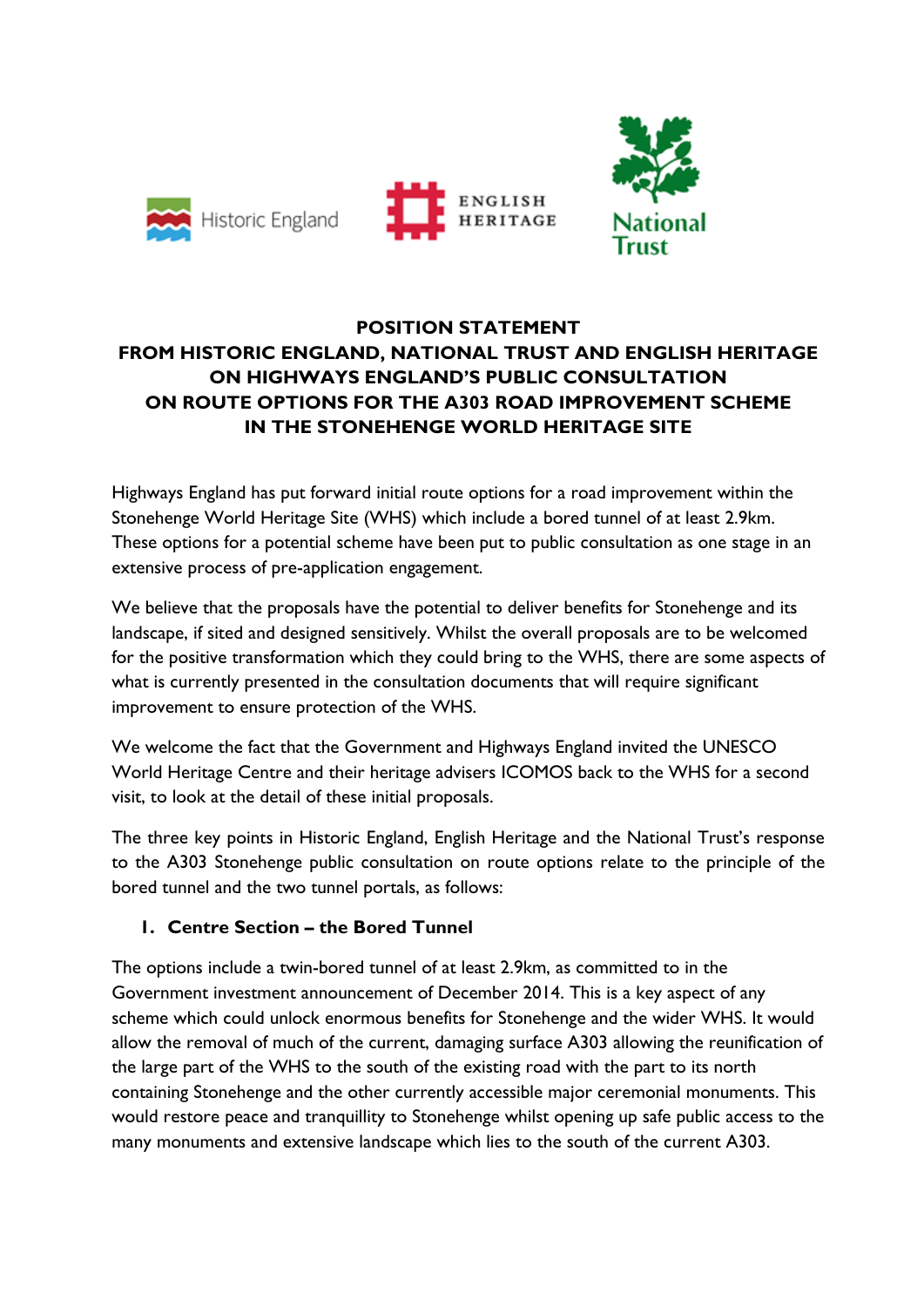



# **POSITION STATEMENT FROM HISTORIC ENGLAND, NATIONAL TRUST AND ENGLISH HERITAGE ON HIGHWAYS ENGLAND'S PUBLIC CONSULTATION ON ROUTE OPTIONS FOR THE A303 ROAD IMPROVEMENT SCHEME IN THE STONEHENGE WORLD HERITAGE SITE**

ENGLISH

**HERITAGE** 

Highways England has put forward initial route options for a road improvement within the Stonehenge World Heritage Site (WHS) which include a bored tunnel of at least 2.9km. These options for a potential scheme have been put to public consultation as one stage in an extensive process of pre-application engagement.

We believe that the proposals have the potential to deliver benefits for Stonehenge and its landscape, if sited and designed sensitively. Whilst the overall proposals are to be welcomed for the positive transformation which they could bring to the WHS, there are some aspects of what is currently presented in the consultation documents that will require significant improvement to ensure protection of the WHS.

We welcome the fact that the Government and Highways England invited the UNESCO World Heritage Centre and their heritage advisers ICOMOS back to the WHS for a second visit, to look at the detail of these initial proposals.

The three key points in Historic England, English Heritage and the National Trust's response to the A303 Stonehenge public consultation on route options relate to the principle of the bored tunnel and the two tunnel portals, as follows:

## **1. Centre Section – the Bored Tunnel**

The options include a twin-bored tunnel of at least 2.9km, as committed to in the Government investment announcement of December 2014. This is a key aspect of any scheme which could unlock enormous benefits for Stonehenge and the wider WHS. It would allow the removal of much of the current, damaging surface A303 allowing the reunification of the large part of the WHS to the south of the existing road with the part to its north containing Stonehenge and the other currently accessible major ceremonial monuments. This would restore peace and tranquillity to Stonehenge whilst opening up safe public access to the many monuments and extensive landscape which lies to the south of the current A303.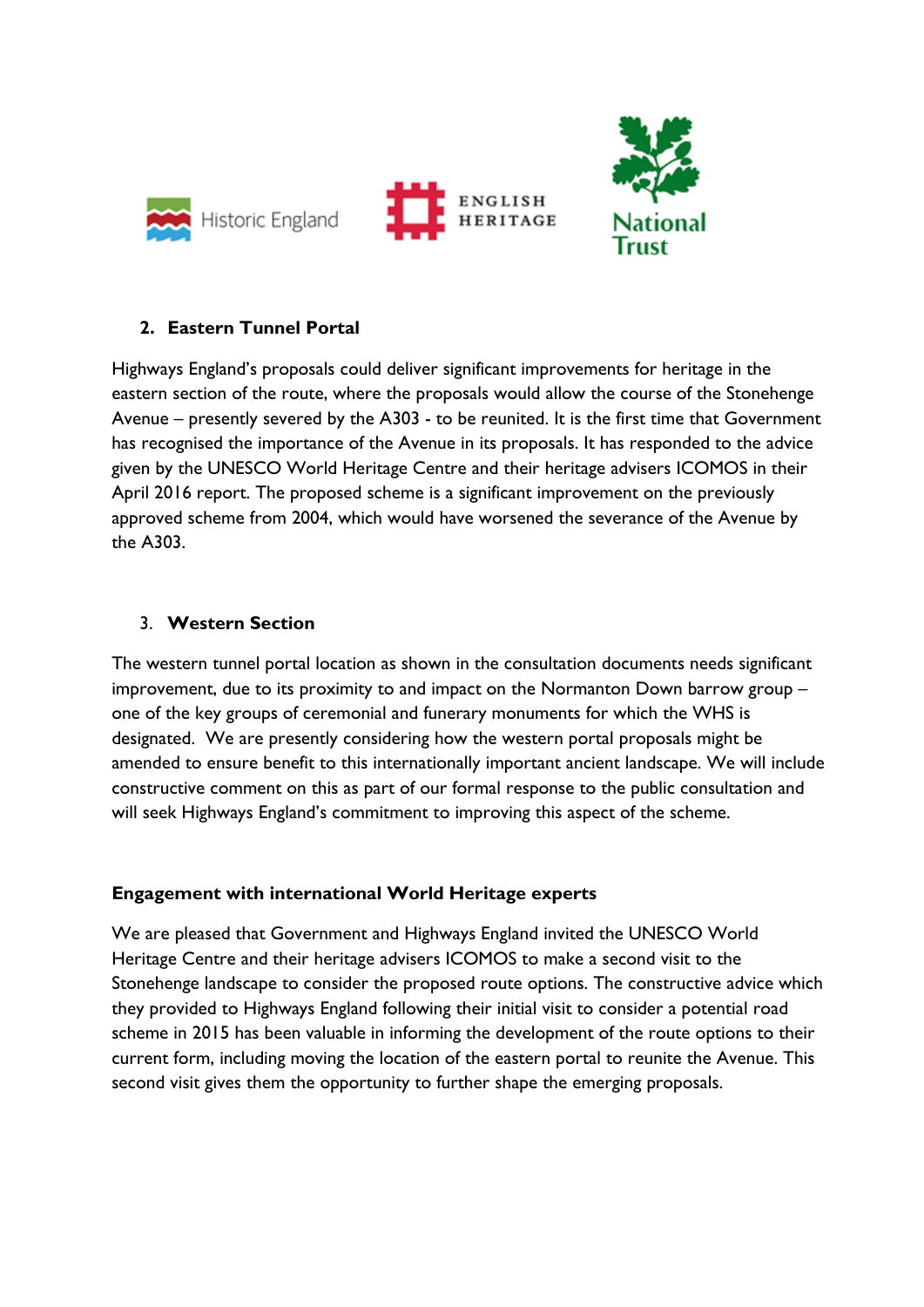

### **2. Eastern Tunnel Portal**

Highways England's proposals could deliver significant improvements for heritage in the eastern section of the route, where the proposals would allow the course of the Stonehenge Avenue – presently severed by the A303 - to be reunited. It is the first time that Government has recognised the importance of the Avenue in its proposals. It has responded to the advice given by the UNESCO World Heritage Centre and their heritage advisers ICOMOS in their April 2016 report. The proposed scheme is a significant improvement on the previously approved scheme from 2004, which would have worsened the severance of the Avenue by the A303.

### 3. **Western Section**

The western tunnel portal location as shown in the consultation documents needs significant improvement, due to its proximity to and impact on the Normanton Down barrow group – one of the key groups of ceremonial and funerary monuments for which the WHS is designated. We are presently considering how the western portal proposals might be amended to ensure benefit to this internationally important ancient landscape. We will include constructive comment on this as part of our formal response to the public consultation and will seek Highways England's commitment to improving this aspect of the scheme.

#### **Engagement with international World Heritage experts**

We are pleased that Government and Highways England invited the UNESCO World Heritage Centre and their heritage advisers ICOMOS to make a second visit to the Stonehenge landscape to consider the proposed route options. The constructive advice which they provided to Highways England following their initial visit to consider a potential road scheme in 2015 has been valuable in informing the development of the route options to their current form, including moving the location of the eastern portal to reunite the Avenue. This second visit gives them the opportunity to further shape the emerging proposals.